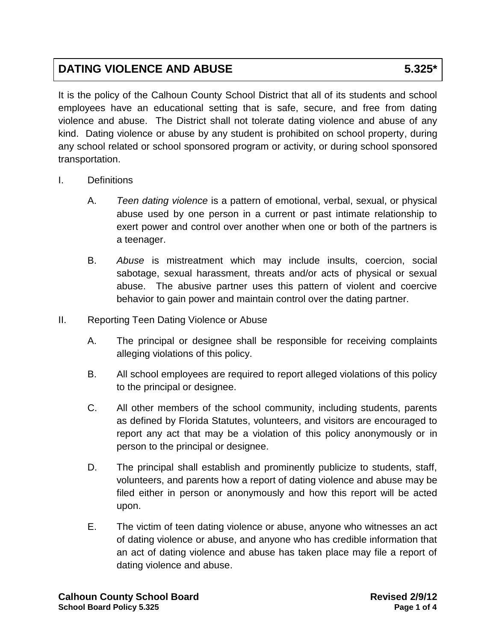## **DATING VIOLENCE AND ABUSE 5.325\***

It is the policy of the Calhoun County School District that all of its students and school employees have an educational setting that is safe, secure, and free from dating violence and abuse. The District shall not tolerate dating violence and abuse of any kind. Dating violence or abuse by any student is prohibited on school property, during any school related or school sponsored program or activity, or during school sponsored transportation.

- I. Definitions
	- A. *Teen dating violence* is a pattern of emotional, verbal, sexual, or physical abuse used by one person in a current or past intimate relationship to exert power and control over another when one or both of the partners is a teenager.
	- B. *Abuse* is mistreatment which may include insults, coercion, social sabotage, sexual harassment, threats and/or acts of physical or sexual abuse. The abusive partner uses this pattern of violent and coercive behavior to gain power and maintain control over the dating partner.
- II. Reporting Teen Dating Violence or Abuse
	- A. The principal or designee shall be responsible for receiving complaints alleging violations of this policy.
	- B. All school employees are required to report alleged violations of this policy to the principal or designee.
	- C. All other members of the school community, including students, parents as defined by Florida Statutes, volunteers, and visitors are encouraged to report any act that may be a violation of this policy anonymously or in person to the principal or designee.
	- D. The principal shall establish and prominently publicize to students, staff, volunteers, and parents how a report of dating violence and abuse may be filed either in person or anonymously and how this report will be acted upon.
	- E. The victim of teen dating violence or abuse, anyone who witnesses an act of dating violence or abuse, and anyone who has credible information that an act of dating violence and abuse has taken place may file a report of dating violence and abuse.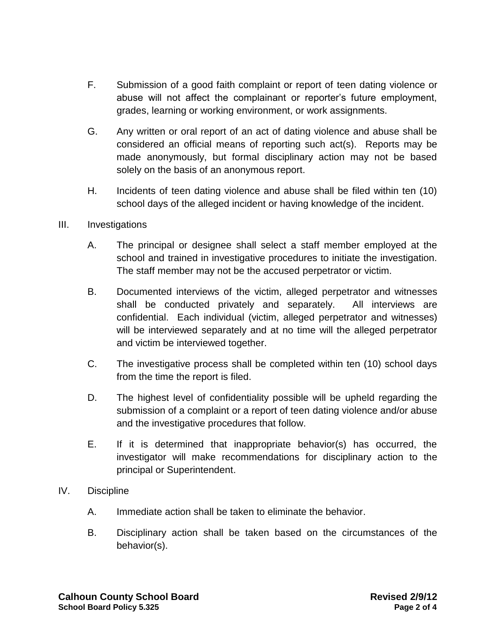- F. Submission of a good faith complaint or report of teen dating violence or abuse will not affect the complainant or reporter's future employment, grades, learning or working environment, or work assignments.
- G. Any written or oral report of an act of dating violence and abuse shall be considered an official means of reporting such act(s). Reports may be made anonymously, but formal disciplinary action may not be based solely on the basis of an anonymous report.
- H. Incidents of teen dating violence and abuse shall be filed within ten (10) school days of the alleged incident or having knowledge of the incident.

## III. Investigations

- A. The principal or designee shall select a staff member employed at the school and trained in investigative procedures to initiate the investigation. The staff member may not be the accused perpetrator or victim.
- B. Documented interviews of the victim, alleged perpetrator and witnesses shall be conducted privately and separately. All interviews are confidential. Each individual (victim, alleged perpetrator and witnesses) will be interviewed separately and at no time will the alleged perpetrator and victim be interviewed together.
- C. The investigative process shall be completed within ten (10) school days from the time the report is filed.
- D. The highest level of confidentiality possible will be upheld regarding the submission of a complaint or a report of teen dating violence and/or abuse and the investigative procedures that follow.
- E. If it is determined that inappropriate behavior(s) has occurred, the investigator will make recommendations for disciplinary action to the principal or Superintendent.
- IV. Discipline
	- A. Immediate action shall be taken to eliminate the behavior.
	- B. Disciplinary action shall be taken based on the circumstances of the behavior(s).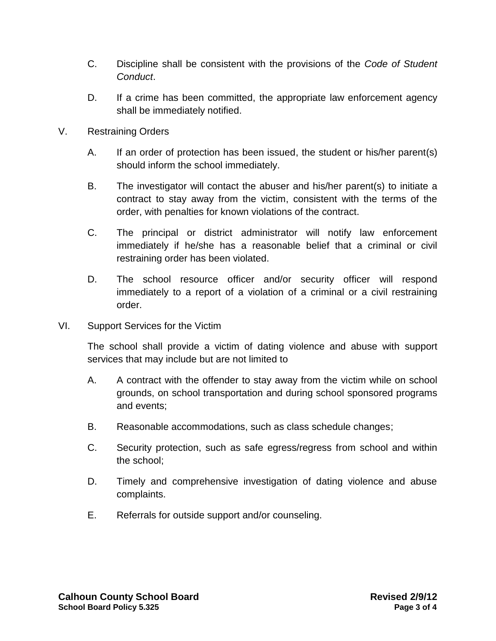- C. Discipline shall be consistent with the provisions of the *Code of Student Conduct*.
- D. If a crime has been committed, the appropriate law enforcement agency shall be immediately notified.
- V. Restraining Orders
	- A. If an order of protection has been issued, the student or his/her parent(s) should inform the school immediately.
	- B. The investigator will contact the abuser and his/her parent(s) to initiate a contract to stay away from the victim, consistent with the terms of the order, with penalties for known violations of the contract.
	- C. The principal or district administrator will notify law enforcement immediately if he/she has a reasonable belief that a criminal or civil restraining order has been violated.
	- D. The school resource officer and/or security officer will respond immediately to a report of a violation of a criminal or a civil restraining order.
- VI. Support Services for the Victim

The school shall provide a victim of dating violence and abuse with support services that may include but are not limited to

- A. A contract with the offender to stay away from the victim while on school grounds, on school transportation and during school sponsored programs and events;
- B. Reasonable accommodations, such as class schedule changes;
- C. Security protection, such as safe egress/regress from school and within the school;
- D. Timely and comprehensive investigation of dating violence and abuse complaints.
- E. Referrals for outside support and/or counseling.